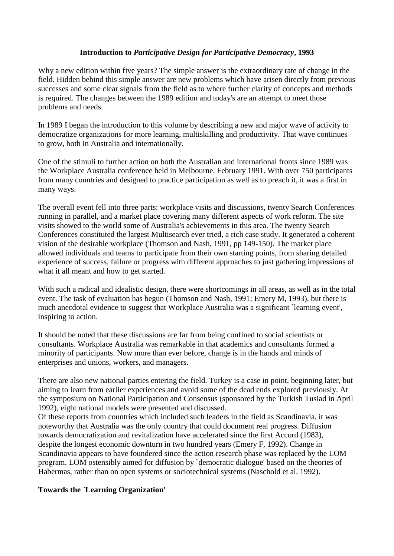# **Introduction to** *Participative Design for Participative Democracy***, 1993**

Why a new edition within five years? The simple answer is the extraordinary rate of change in the field. Hidden behind this simple answer are new problems which have arisen directly from previous successes and some clear signals from the field as to where further clarity of concepts and methods is required. The changes between the 1989 edition and today's are an attempt to meet those problems and needs.

In 1989 I began the introduction to this volume by describing a new and major wave of activity to democratize organizations for more learning, multiskilling and productivity. That wave continues to grow, both in Australia and internationally.

One of the stimuli to further action on both the Australian and international fronts since 1989 was the Workplace Australia conference held in Melbourne, February 1991. With over 750 participants from many countries and designed to practice participation as well as to preach it, it was a first in many ways.

The overall event fell into three parts: workplace visits and discussions, twenty Search Conferences running in parallel, and a market place covering many different aspects of work reform. The site visits showed to the world some of Australia's achievements in this area. The twenty Search Conferences constituted the largest Multisearch ever tried, a rich case study. It generated a coherent vision of the desirable workplace (Thomson and Nash, 1991, pp 149-150). The market place allowed individuals and teams to participate from their own starting points, from sharing detailed experience of success, failure or progress with different approaches to just gathering impressions of what it all meant and how to get started.

With such a radical and idealistic design, there were shortcomings in all areas, as well as in the total event. The task of evaluation has begun (Thomson and Nash, 1991; Emery M, 1993), but there is much anecdotal evidence to suggest that Workplace Australia was a significant `learning event', inspiring to action.

It should be noted that these discussions are far from being confined to social scientists or consultants. Workplace Australia was remarkable in that academics and consultants formed a minority of participants. Now more than ever before, change is in the hands and minds of enterprises and unions, workers, and managers.

There are also new national parties entering the field. Turkey is a case in point, beginning later, but aiming to learn from earlier experiences and avoid some of the dead ends explored previously. At the symposium on National Participation and Consensus (sponsored by the Turkish Tusiad in April 1992), eight national models were presented and discussed.

Of these reports from countries which included such leaders in the field as Scandinavia, it was noteworthy that Australia was the only country that could document real progress. Diffusion towards democratization and revitalization have accelerated since the first Accord (1983), despite the longest economic downturn in two hundred years (Emery F, 1992). Change in Scandinavia appears to have foundered since the action research phase was replaced by the LOM program. LOM ostensibly aimed for diffusion by `democratic dialogue' based on the theories of Habermas, rather than on open systems or sociotechnical systems (Naschold et al. 1992).

### **Towards the `Learning Organization'**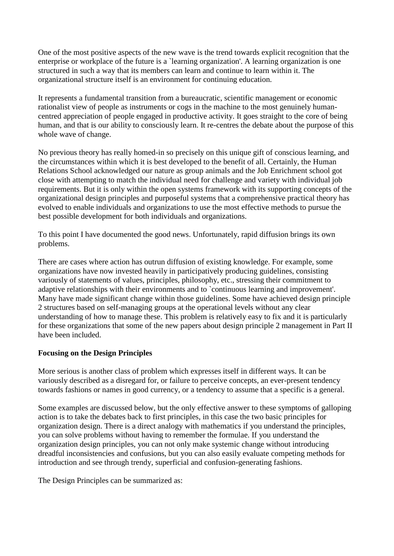One of the most positive aspects of the new wave is the trend towards explicit recognition that the enterprise or workplace of the future is a `learning organization'. A learning organization is one structured in such a way that its members can learn and continue to learn within it. The organizational structure itself is an environment for continuing education.

It represents a fundamental transition from a bureaucratic, scientific management or economic rationalist view of people as instruments or cogs in the machine to the most genuinely humancentred appreciation of people engaged in productive activity. It goes straight to the core of being human, and that is our ability to consciously learn. It re-centres the debate about the purpose of this whole wave of change.

No previous theory has really homed-in so precisely on this unique gift of conscious learning, and the circumstances within which it is best developed to the benefit of all. Certainly, the Human Relations School acknowledged our nature as group animals and the Job Enrichment school got close with attempting to match the individual need for challenge and variety with individual job requirements. But it is only within the open systems framework with its supporting concepts of the organizational design principles and purposeful systems that a comprehensive practical theory has evolved to enable individuals and organizations to use the most effective methods to pursue the best possible development for both individuals and organizations.

To this point I have documented the good news. Unfortunately, rapid diffusion brings its own problems.

There are cases where action has outrun diffusion of existing knowledge. For example, some organizations have now invested heavily in participatively producing guidelines, consisting variously of statements of values, principles, philosophy, etc., stressing their commitment to adaptive relationships with their environments and to `continuous learning and improvement'. Many have made significant change within those guidelines. Some have achieved design principle 2 structures based on self-managing groups at the operational levels without any clear understanding of how to manage these. This problem is relatively easy to fix and it is particularly for these organizations that some of the new papers about design principle 2 management in Part II have been included.

# **Focusing on the Design Principles**

More serious is another class of problem which expresses itself in different ways. It can be variously described as a disregard for, or failure to perceive concepts, an ever-present tendency towards fashions or names in good currency, or a tendency to assume that a specific is a general.

Some examples are discussed below, but the only effective answer to these symptoms of galloping action is to take the debates back to first principles, in this case the two basic principles for organization design. There is a direct analogy with mathematics if you understand the principles, you can solve problems without having to remember the formulae. If you understand the organization design principles, you can not only make systemic change without introducing dreadful inconsistencies and confusions, but you can also easily evaluate competing methods for introduction and see through trendy, superficial and confusion-generating fashions.

The Design Principles can be summarized as: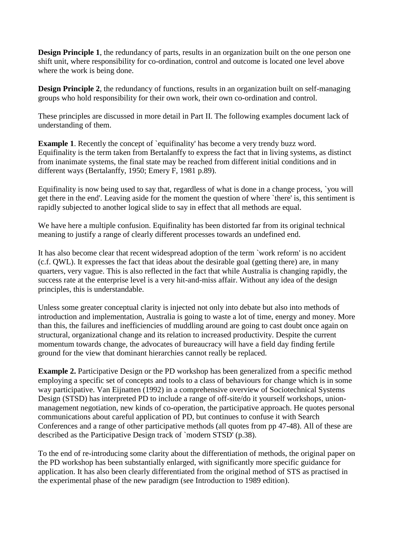**Design Principle 1**, the redundancy of parts, results in an organization built on the one person one shift unit, where responsibility for co-ordination, control and outcome is located one level above where the work is being done.

**Design Principle 2**, the redundancy of functions, results in an organization built on self-managing groups who hold responsibility for their own work, their own co-ordination and control.

These principles are discussed in more detail in Part II. The following examples document lack of understanding of them.

**Example 1.** Recently the concept of `equifinality' has become a very trendy buzz word. Equifinality is the term taken from Bertalanffy to express the fact that in living systems, as distinct from inanimate systems, the final state may be reached from different initial conditions and in different ways (Bertalanffy, 1950; Emery F, 1981 p.89).

Equifinality is now being used to say that, regardless of what is done in a change process, `you will get there in the end'. Leaving aside for the moment the question of where `there' is, this sentiment is rapidly subjected to another logical slide to say in effect that all methods are equal.

We have here a multiple confusion. Equifinality has been distorted far from its original technical meaning to justify a range of clearly different processes towards an undefined end.

It has also become clear that recent widespread adoption of the term `work reform' is no accident (c.f. QWL). It expresses the fact that ideas about the desirable goal (getting there) are, in many quarters, very vague. This is also reflected in the fact that while Australia is changing rapidly, the success rate at the enterprise level is a very hit-and-miss affair. Without any idea of the design principles, this is understandable.

Unless some greater conceptual clarity is injected not only into debate but also into methods of introduction and implementation, Australia is going to waste a lot of time, energy and money. More than this, the failures and inefficiencies of muddling around are going to cast doubt once again on structural, organizational change and its relation to increased productivity. Despite the current momentum towards change, the advocates of bureaucracy will have a field day finding fertile ground for the view that dominant hierarchies cannot really be replaced.

**Example 2.** Participative Design or the PD workshop has been generalized from a specific method employing a specific set of concepts and tools to a class of behaviours for change which is in some way participative. Van Eijnatten (1992) in a comprehensive overview of Sociotechnical Systems Design (STSD) has interpreted PD to include a range of off-site/do it yourself workshops, unionmanagement negotiation, new kinds of co-operation, the participative approach. He quotes personal communications about careful application of PD, but continues to confuse it with Search Conferences and a range of other participative methods (all quotes from pp 47-48). All of these are described as the Participative Design track of `modern STSD' (p.38).

To the end of re-introducing some clarity about the differentiation of methods, the original paper on the PD workshop has been substantially enlarged, with significantly more specific guidance for application. It has also been clearly differentiated from the original method of STS as practised in the experimental phase of the new paradigm (see Introduction to 1989 edition).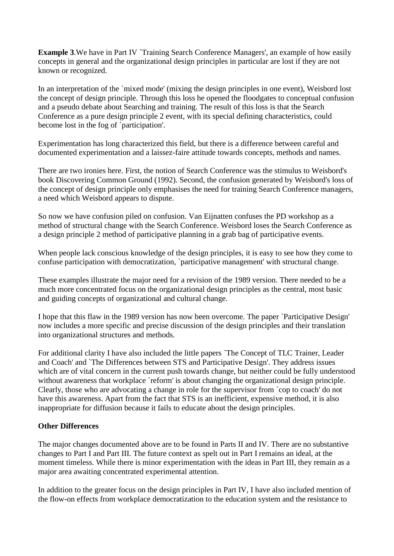**Example 3.** We have in Part IV `Training Search Conference Managers', an example of how easily concepts in general and the organizational design principles in particular are lost if they are not known or recognized.

In an interpretation of the 'mixed mode' (mixing the design principles in one event), Weisbord lost the concept of design principle. Through this loss he opened the floodgates to conceptual confusion and a pseudo debate about Searching and training. The result of this loss is that the Search Conference as a pure design principle 2 event, with its special defining characteristics, could become lost in the fog of `participation'.

Experimentation has long characterized this field, but there is a difference between careful and documented experimentation and a laissez-faire attitude towards concepts, methods and names.

There are two ironies here. First, the notion of Search Conference was the stimulus to Weisbord's book Discovering Common Ground (1992). Second, the confusion generated by Weisbord's loss of the concept of design principle only emphasises the need for training Search Conference managers, a need which Weisbord appears to dispute.

So now we have confusion piled on confusion. Van Eijnatten confuses the PD workshop as a method of structural change with the Search Conference. Weisbord loses the Search Conference as a design principle 2 method of participative planning in a grab bag of participative events.

When people lack conscious knowledge of the design principles, it is easy to see how they come to confuse participation with democratization, `participative management' with structural change.

These examples illustrate the major need for a revision of the 1989 version. There needed to be a much more concentrated focus on the organizational design principles as the central, most basic and guiding concepts of organizational and cultural change.

I hope that this flaw in the 1989 version has now been overcome. The paper `Participative Design' now includes a more specific and precise discussion of the design principles and their translation into organizational structures and methods.

For additional clarity I have also included the little papers `The Concept of TLC Trainer, Leader and Coach' and `The Differences between STS and Participative Design'. They address issues which are of vital concern in the current push towards change, but neither could be fully understood without awareness that workplace `reform' is about changing the organizational design principle. Clearly, those who are advocating a change in role for the supervisor from `cop to coach' do not have this awareness. Apart from the fact that STS is an inefficient, expensive method, it is also inappropriate for diffusion because it fails to educate about the design principles.

### **Other Differences**

The major changes documented above are to be found in Parts II and IV. There are no substantive changes to Part I and Part III. The future context as spelt out in Part I remains an ideal, at the moment timeless. While there is minor experimentation with the ideas in Part III, they remain as a major area awaiting concentrated experimental attention.

In addition to the greater focus on the design principles in Part IV, I have also included mention of the flow-on effects from workplace democratization to the education system and the resistance to